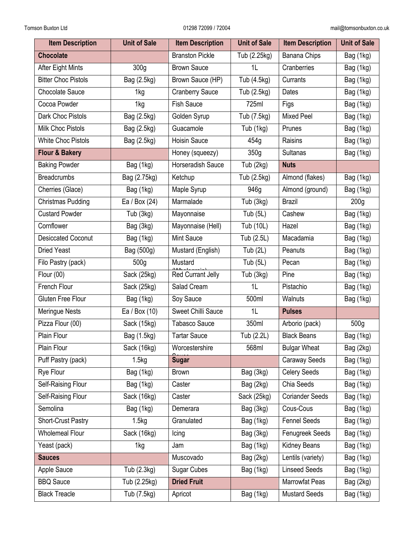| <b>Item Description</b>    | <b>Unit of Sale</b> | <b>Item Description</b> | <b>Unit of Sale</b> | <b>Item Description</b> | <b>Unit of Sale</b> |
|----------------------------|---------------------|-------------------------|---------------------|-------------------------|---------------------|
| <b>Chocolate</b>           |                     | <b>Branston Pickle</b>  | Tub (2.25kg)        | Banana Chips            | Bag (1kg)           |
| After Eight Mints          | 300g                | <b>Brown Sauce</b>      | 1L                  | Cranberries             | Bag (1kg)           |
| <b>Bitter Choc Pistols</b> | Bag (2.5kg)         | Brown Sauce (HP)        | Tub (4.5kg)         | Currants                | Bag (1kg)           |
| <b>Chocolate Sauce</b>     | 1kg                 | <b>Cranberry Sauce</b>  | Tub (2.5kg)         | Dates                   | Bag (1kg)           |
| Cocoa Powder               | 1kg                 | <b>Fish Sauce</b>       | 725ml               | Figs                    | Bag (1kg)           |
| Dark Choc Pistols          | Bag (2.5kg)         | Golden Syrup            | Tub (7.5kg)         | <b>Mixed Peel</b>       | Bag (1kg)           |
| <b>Milk Choc Pistols</b>   | Bag (2.5kg)         | Guacamole               | Tub (1kg)           | Prunes                  | Bag (1kg)           |
| <b>White Choc Pistols</b>  | Bag (2.5kg)         | <b>Hoisin Sauce</b>     | 454g                | Raisins                 | Bag (1kg)           |
| <b>Flour &amp; Bakery</b>  |                     | Honey (squeezy)         | 350 <sub>g</sub>    | Sultanas                | Bag (1kg)           |
| <b>Baking Powder</b>       | Bag (1kg)           | Horseradish Sauce       | Tub (2kg)           | <b>Nuts</b>             |                     |
| <b>Breadcrumbs</b>         | Bag (2.75kg)        | Ketchup                 | Tub (2.5kg)         | Almond (flakes)         | Bag (1kg)           |
| Cherries (Glace)           | Bag (1kg)           | Maple Syrup             | 946g                | Almond (ground)         | Bag (1kg)           |
| <b>Christmas Pudding</b>   | Ea / Box (24)       | Marmalade               | Tub (3kg)           | <b>Brazil</b>           | 200 <sub>g</sub>    |
| <b>Custard Powder</b>      | Tub (3kg)           | Mayonnaise              | Tub $(5L)$          | Cashew                  | Bag (1kg)           |
| Cornflower                 | Bag (3kg)           | Mayonnaise (Hell)       | Tub (10L)           | Hazel                   | Bag (1kg)           |
| <b>Desiccated Coconut</b>  | Bag (1kg)           | Mint Sauce              | Tub (2.5L)          | Macadamia               | Bag (1kg)           |
| <b>Dried Yeast</b>         | Bag (500g)          | Mustard (English)       | Tub $(2L)$          | Peanuts                 | Bag (1kg)           |
| Filo Pastry (pack)         | 500g                | Mustard                 | Tub $(5L)$          | Pecan                   | Bag (1kg)           |
| Flour (00)                 | Sack (25kg)         | Red Currant Jelly       | Tub (3kg)           | Pine                    | Bag (1kg)           |
| French Flour               | Sack (25kg)         | Salad Cream             | 1L                  | Pistachio               | Bag (1kg)           |
| Gluten Free Flour          | Bag (1kg)           | Soy Sauce               | 500ml               | Walnuts                 | Bag (1kg)           |
| Meringue Nests             | Ea / Box (10)       | Sweet Chilli Sauce      | 1L                  | <b>Pulses</b>           |                     |
| Pizza Flour (00)           | Sack (15kg)         | <b>Tabasco Sauce</b>    | 350ml               | Arborio (pack)          | 500g                |
| Plain Flour                | Bag (1.5kg)         | <b>Tartar Sauce</b>     | Tub (2.2L)          | <b>Black Beans</b>      | Bag (1kg)           |
| Plain Flour                | Sack (16kg)         | Worcestershire          | 568ml               | <b>Bulgar Wheat</b>     | Bag (2kg)           |
| Puff Pastry (pack)         | 1.5kg               | <b>Sugar</b>            |                     | Caraway Seeds           | Bag (1kg)           |
| Rye Flour                  | Bag (1kg)           | <b>Brown</b>            | Bag (3kg)           | <b>Celery Seeds</b>     | Bag (1kg)           |
| Self-Raising Flour         | Bag (1kg)           | Caster                  | Bag (2kg)           | Chia Seeds              | Bag (1kg)           |
| Self-Raising Flour         | Sack (16kg)         | Caster                  | Sack (25kg)         | <b>Coriander Seeds</b>  | Bag (1kg)           |
| Semolina                   | Bag (1kg)           | Demerara                | Bag (3kg)           | Cous-Cous               | Bag (1kg)           |
| Short-Crust Pastry         | 1.5kg               | Granulated              | Bag (1kg)           | <b>Fennel Seeds</b>     | Bag (1kg)           |
| <b>Wholemeal Flour</b>     | Sack (16kg)         | Icing                   | Bag (3kg)           | Fenugreek Seeds         | Bag (1kg)           |
| Yeast (pack)               | 1kg                 | Jam                     | Bag (1kg)           | Kidney Beans            | Bag (1kg)           |
| <b>Sauces</b>              |                     | Muscovado               | Bag (2kg)           | Lentils (variety)       | Bag (1kg)           |
| Apple Sauce                | Tub (2.3kg)         | <b>Sugar Cubes</b>      | Bag (1kg)           | <b>Linseed Seeds</b>    | Bag (1kg)           |
| <b>BBQ Sauce</b>           | Tub (2.25kg)        | <b>Dried Fruit</b>      |                     | Marrowfat Peas          | Bag (2kg)           |
| <b>Black Treacle</b>       | Tub (7.5kg)         | Apricot                 | Bag (1kg)           | <b>Mustard Seeds</b>    | Bag (1kg)           |